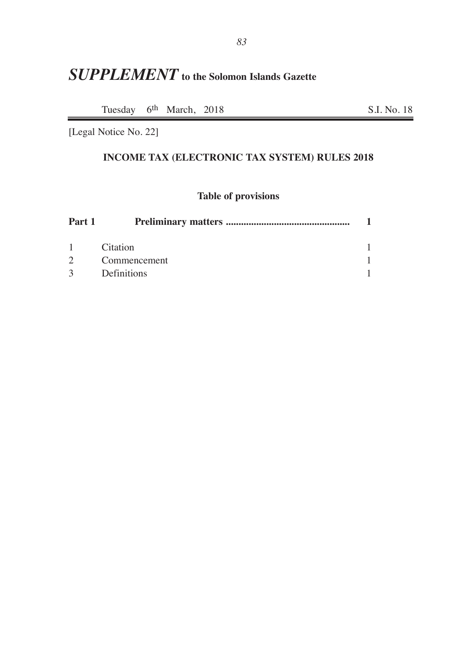# *SUPPLEMENT* **to the Solomon Islands Gazette**

Tuesday 6<sup>th</sup> March, 2018 S.I. No. 18

[Legal Notice No. 22]

## **INCOME TAX (ELECTRONIC TAX SYSTEM) RULES 2018**

### **Table of provisions**

| Part 1        |                    |  |
|---------------|--------------------|--|
| $1 \quad$     | <b>Citation</b>    |  |
| $2^{\circ}$   | Commencement       |  |
| $\mathcal{E}$ | <b>Definitions</b> |  |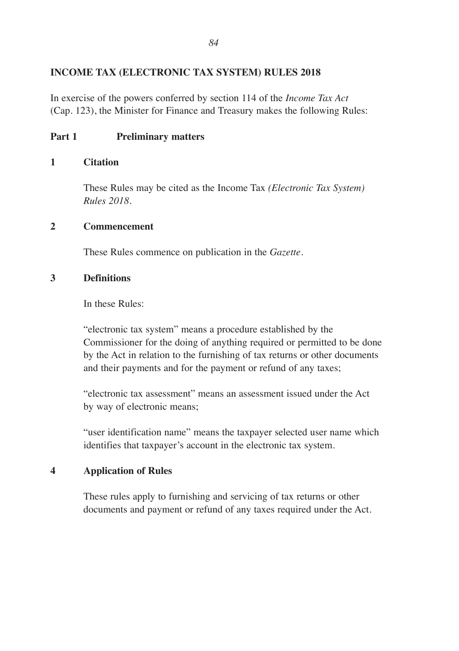#### **INCOME TAX (ELECTRONIC TAX SYSTEM) RULES 2018**

In exercise of the powers conferred by section 114 of the *Income Tax Act* (Cap. 123), the Minister for Finance and Treasury makes the following Rules:

#### **Part 1 Preliminary matters**

#### **1 Citation**

These Rules may be cited as the Income Tax *(Electronic Tax System) Rules 2018.*

#### **2 Commencement**

These Rules commence on publication in the *Gazette.*

#### **3 Definitions**

In these Rules:

"electronic tax system" means a procedure established by the Commissioner for the doing of anything required or permitted to be done by the Act in relation to the furnishing of tax returns or other documents and their payments and for the payment or refund of any taxes;

"electronic tax assessment" means an assessment issued under the Act by way of electronic means;

"user identification name" means the taxpayer selected user name which identifies that taxpayer's account in the electronic tax system.

#### **4 Application of Rules**

These rules apply to furnishing and servicing of tax returns or other documents and payment or refund of any taxes required under the Act.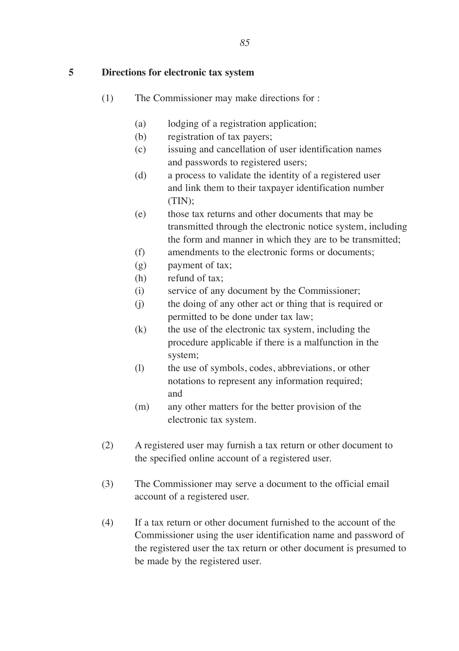**5 Directions for electronic tax system**

- (1) The Commissioner may make directions for :
	- (a) lodging of a registration application;
	- (b) registration of tax payers;
	- (c) issuing and cancellation of user identification names and passwords to registered users;
	- (d) a process to validate the identity of a registered user and link them to their taxpayer identification number (TIN);
	- (e) those tax returns and other documents that may be transmitted through the electronic notice system, including the form and manner in which they are to be transmitted;
	- (f) amendments to the electronic forms or documents;
	- (g) payment of tax;
	- (h) refund of tax;
	- (i) service of any document by the Commissioner;
	- (j) the doing of any other act or thing that is required or permitted to be done under tax law;
	- (k) the use of the electronic tax system, including the procedure applicable if there is a malfunction in the system;
	- (l) the use of symbols, codes, abbreviations, or other notations to represent any information required; and
	- (m) any other matters for the better provision of the electronic tax system.
- (2) A registered user may furnish a tax return or other document to the specified online account of a registered user.
- (3) The Commissioner may serve a document to the official email account of a registered user.
- (4) If a tax return or other document furnished to the account of the Commissioner using the user identification name and password of the registered user the tax return or other document is presumed to be made by the registered user.